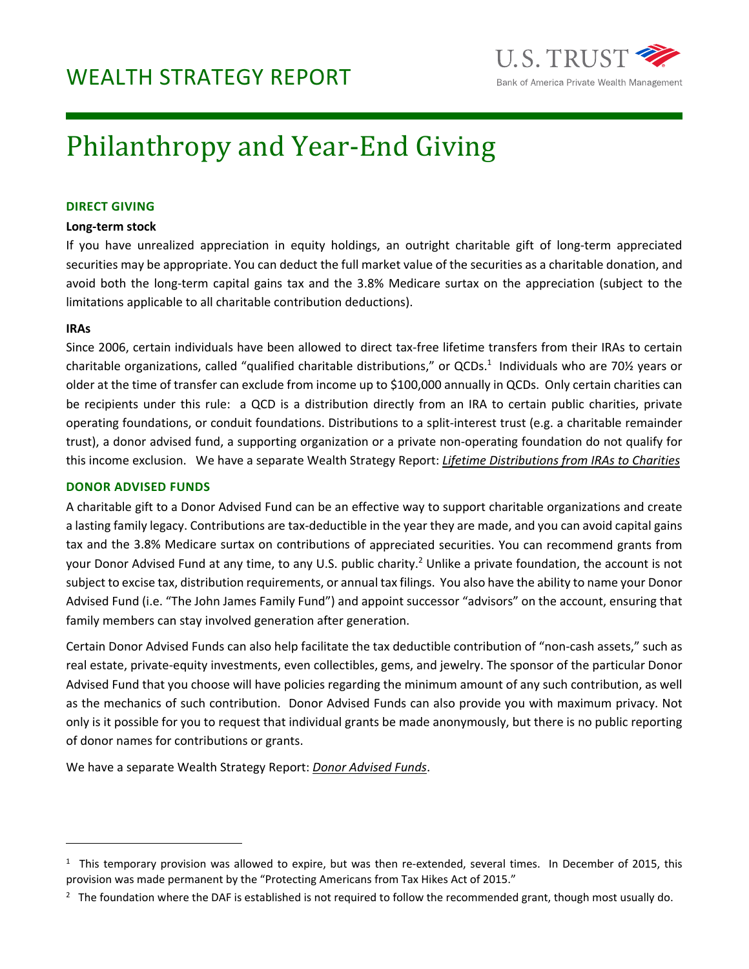

# Philanthropy and Year-End Giving

## **DIRECT GIVING**

## **Long‐term stock**

If you have unrealized appreciation in equity holdings, an outright charitable gift of long-term appreciated securities may be appropriate. You can deduct the full market value of the securities as a charitable donation, and avoid both the long-term capital gains tax and the 3.8% Medicare surtax on the appreciation (subject to the limitations applicable to all charitable contribution deductions).

# **IRAs**

Since 2006, certain individuals have been allowed to direct tax‐free lifetime transfers from their IRAs to certain charitable organizations, called "qualified charitable distributions," or QCDs.<sup>1</sup> Individuals who are 70½ years or older at the time of transfer can exclude from income up to \$100,000 annually in QCDs. Only certain charities can be recipients under this rule: a QCD is a distribution directly from an IRA to certain public charities, private operating foundations, or conduit foundations. Distributions to a split‐interest trust (e.g. a charitable remainder trust), a donor advised fund, a supporting organization or a private non‐operating foundation do not qualify for this income exclusion. We have a separate Wealth Strategy Report: *Lifetime Distributions from IRAs to Charities*

# **DONOR ADVISED FUNDS**

A charitable gift to a Donor Advised Fund can be an effective way to support charitable organizations and create a lasting family legacy. Contributions are tax-deductible in the year they are made, and you can avoid capital gains tax and the 3.8% Medicare surtax on contributions of appreciated securities. You can recommend grants from your Donor Advised Fund at any time, to any U.S. public charity.<sup>2</sup> Unlike a private foundation, the account is not subject to excise tax, distribution requirements, or annual tax filings. You also have the ability to name your Donor Advised Fund (i.e. "The John James Family Fund") and appoint successor "advisors" on the account, ensuring that family members can stay involved generation after generation.

Certain Donor Advised Funds can also help facilitate the tax deductible contribution of "non‐cash assets," such as real estate, private‐equity investments, even collectibles, gems, and jewelry. The sponsor of the particular Donor Advised Fund that you choose will have policies regarding the minimum amount of any such contribution, as well as the mechanics of such contribution. Donor Advised Funds can also provide you with maximum privacy. Not only is it possible for you to request that individual grants be made anonymously, but there is no public reporting of donor names for contributions or grants.

We have a separate Wealth Strategy Report: *Donor Advised Funds*.

 $1$  This temporary provision was allowed to expire, but was then re-extended, several times. In December of 2015, this provision was made permanent by the "Protecting Americans from Tax Hikes Act of 2015."

 $^2$  The foundation where the DAF is established is not required to follow the recommended grant, though most usually do.